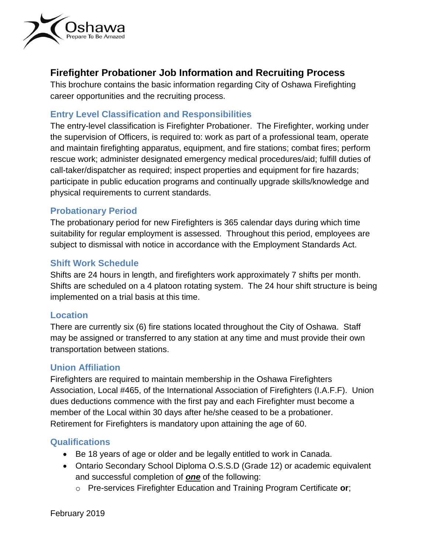

# **Firefighter Probationer Job Information and Recruiting Process**

This brochure contains the basic information regarding City of Oshawa Firefighting career opportunities and the recruiting process.

## **Entry Level Classification and Responsibilities**

The entry-level classification is Firefighter Probationer. The Firefighter, working under the supervision of Officers, is required to: work as part of a professional team, operate and maintain firefighting apparatus, equipment, and fire stations; combat fires; perform rescue work; administer designated emergency medical procedures/aid; fulfill duties of call-taker/dispatcher as required; inspect properties and equipment for fire hazards; participate in public education programs and continually upgrade skills/knowledge and physical requirements to current standards.

## **Probationary Period**

The probationary period for new Firefighters is 365 calendar days during which time suitability for regular employment is assessed. Throughout this period, employees are subject to dismissal with notice in accordance with the Employment Standards Act.

## **Shift Work Schedule**

Shifts are 24 hours in length, and firefighters work approximately 7 shifts per month. Shifts are scheduled on a 4 platoon rotating system. The 24 hour shift structure is being implemented on a trial basis at this time.

#### **Location**

There are currently six (6) fire stations located throughout the City of Oshawa. Staff may be assigned or transferred to any station at any time and must provide their own transportation between stations.

## **Union Affiliation**

Firefighters are required to maintain membership in the Oshawa Firefighters Association, Local #465, of the International Association of Firefighters (I.A.F.F). Union dues deductions commence with the first pay and each Firefighter must become a member of the Local within 30 days after he/she ceased to be a probationer. Retirement for Firefighters is mandatory upon attaining the age of 60.

## **Qualifications**

- Be 18 years of age or older and be legally entitled to work in Canada.
- Ontario Secondary School Diploma O.S.S.D (Grade 12) or academic equivalent and successful completion of *one* of the following:
	- o Pre-services Firefighter Education and Training Program Certificate **or**;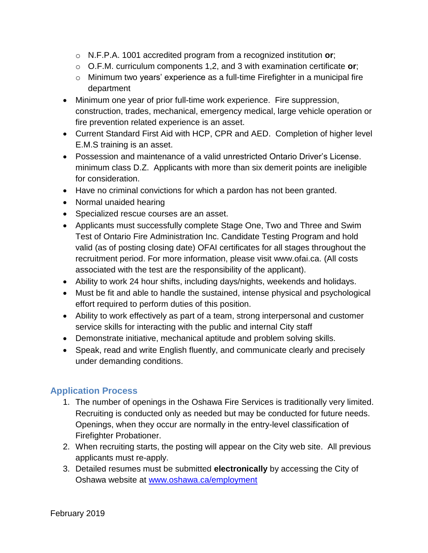- o N.F.P.A. 1001 accredited program from a recognized institution **or**;
- o O.F.M. curriculum components 1,2, and 3 with examination certificate **or**;
- o Minimum two years' experience as a full-time Firefighter in a municipal fire department
- Minimum one year of prior full-time work experience. Fire suppression, construction, trades, mechanical, emergency medical, large vehicle operation or fire prevention related experience is an asset.
- Current Standard First Aid with HCP, CPR and AED. Completion of higher level E.M.S training is an asset.
- Possession and maintenance of a valid unrestricted Ontario Driver's License. minimum class D.Z. Applicants with more than six demerit points are ineligible for consideration.
- Have no criminal convictions for which a pardon has not been granted.
- Normal unaided hearing
- Specialized rescue courses are an asset.
- Applicants must successfully complete Stage One, Two and Three and Swim Test of Ontario Fire Administration Inc. Candidate Testing Program and hold valid (as of posting closing date) OFAI certificates for all stages throughout the recruitment period. For more information, please visit www.ofai.ca. (All costs associated with the test are the responsibility of the applicant).
- Ability to work 24 hour shifts, including days/nights, weekends and holidays.
- Must be fit and able to handle the sustained, intense physical and psychological effort required to perform duties of this position.
- Ability to work effectively as part of a team, strong interpersonal and customer service skills for interacting with the public and internal City staff
- Demonstrate initiative, mechanical aptitude and problem solving skills.
- Speak, read and write English fluently, and communicate clearly and precisely under demanding conditions.

## **Application Process**

- 1. The number of openings in the Oshawa Fire Services is traditionally very limited. Recruiting is conducted only as needed but may be conducted for future needs. Openings, when they occur are normally in the entry-level classification of Firefighter Probationer.
- 2. When recruiting starts, the posting will appear on the City web site. All previous applicants must re-apply.
- 3. Detailed resumes must be submitted **electronically** by accessing the City of Oshawa website at [www.oshawa.ca/](http://www.oshawa.ca/)employment